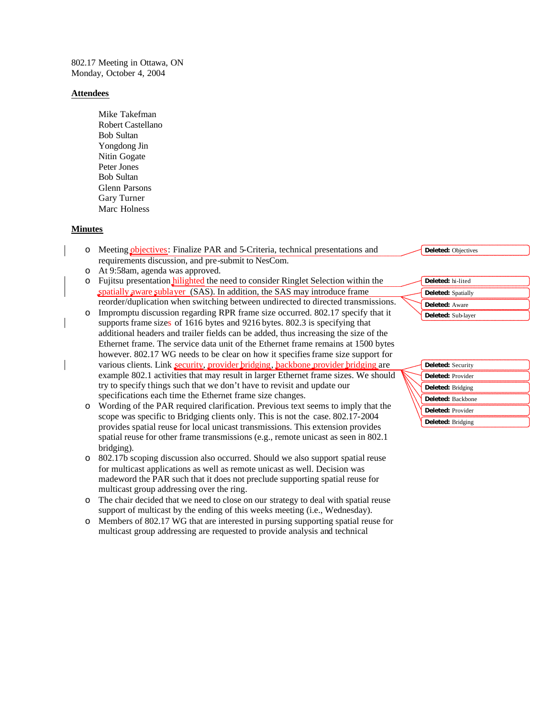802.17 Meeting in Ottawa, ON Monday, October 4, 2004

#### **Attendees**

Mike Takefman Robert Castellano Bob Sultan Yongdong Jin Nitin Gogate Peter Jones Bob Sultan Glenn Parsons Gary Turner Marc Holness

## **Minutes**

- o Meeting objectives: Finalize PAR and 5-Criteria, technical presentations and requirements discussion, and pre-submit to NesCom.
- o At 9:58am, agenda was approved.
- o Fujitsu presentation hilighted the need to consider Ringlet Selection within the spatially aware sublayer (SAS). In addition, the SAS may introduce frame reorder/duplication when switching between undirected to directed transmissions.
- o Impromptu discussion regarding RPR frame size occurred. 802.17 specify that it supports frame sizes of 1616 bytes and 9216 bytes. 802.3 is specifying that additional headers and trailer fields can be added, thus increasing the size of the Ethernet frame. The service data unit of the Ethernet frame remains at 1500 bytes however. 802.17 WG needs to be clear on how it specifies frame size support for various clients. Link security, provider bridging, backbone provider bridging are example 802.1 activities that may result in larger Ethernet frame sizes. We should try to specify things such that we don't have to revisit and update our specifications each time the Ethernet frame size changes.
- o Wording of the PAR required clarification. Previous text seems to imply that the scope was specific to Bridging clients only. This is not the case. 802.17-2004 provides spatial reuse for local unicast transmissions. This extension provides spatial reuse for other frame transmissions (e.g., remote unicast as seen in 802.1 bridging).
- o 802.17b scoping discussion also occurred. Should we also support spatial reuse for multicast applications as well as remote unicast as well. Decision was madeword the PAR such that it does not preclude supporting spatial reuse for multicast group addressing over the ring.
- o The chair decided that we need to close on our strategy to deal with spatial reuse support of multicast by the ending of this weeks meeting (i.e., Wednesday).
- o Members of 802.17 WG that are interested in pursing supporting spatial reuse for multicast group addressing are requested to provide analysis and technical

#### **Deleted:** Objectives

| Deleted: hi-lited |                           |
|-------------------|---------------------------|
|                   | <b>Deleted:</b> Spatially |
| Deleted: Aware    |                           |
|                   | Deleted: Sub-layer        |

| <b>Deleted:</b> Security |
|--------------------------|
| Deleted: Provider        |
| Deleted: Bridging        |
| Deleted: Backbone        |
| Deleted: Provider        |
| Deleted: Bridging        |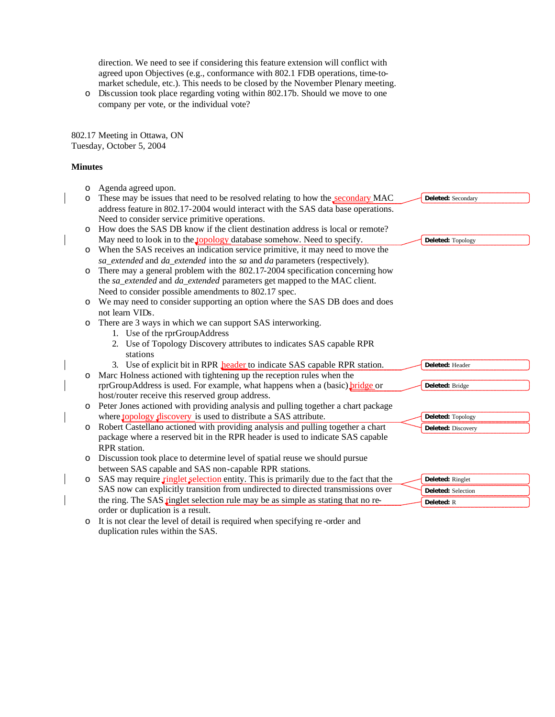direction. We need to see if considering this feature extension will conflict with agreed upon Objectives (e.g., conformance with 802.1 FDB operations, time-tomarket schedule, etc.). This needs to be closed by the November Plenary meeting.

o Discussion took place regarding voting within 802.17b. Should we move to one company per vote, or the individual vote?

802.17 Meeting in Ottawa, ON Tuesday, October 5, 2004

### **Minutes**

 $\overline{\phantom{a}}$ 

 $\mathbf{I}$ 

| Agenda agreed upon.                                                              |                                                                                                                                                                                                                                                                                                                                                                                                                                                                                                                                                                                                                                                                                                                                                    |
|----------------------------------------------------------------------------------|----------------------------------------------------------------------------------------------------------------------------------------------------------------------------------------------------------------------------------------------------------------------------------------------------------------------------------------------------------------------------------------------------------------------------------------------------------------------------------------------------------------------------------------------------------------------------------------------------------------------------------------------------------------------------------------------------------------------------------------------------|
| These may be issues that need to be resolved relating to how the secondary MAC   | Deleted: Secondary                                                                                                                                                                                                                                                                                                                                                                                                                                                                                                                                                                                                                                                                                                                                 |
| address feature in 802.17-2004 would interact with the SAS data base operations. |                                                                                                                                                                                                                                                                                                                                                                                                                                                                                                                                                                                                                                                                                                                                                    |
| Need to consider service primitive operations.                                   |                                                                                                                                                                                                                                                                                                                                                                                                                                                                                                                                                                                                                                                                                                                                                    |
| How does the SAS DB know if the client destination address is local or remote?   |                                                                                                                                                                                                                                                                                                                                                                                                                                                                                                                                                                                                                                                                                                                                                    |
| May need to look in to the topology database somehow. Need to specify.           | Deleted: Topology                                                                                                                                                                                                                                                                                                                                                                                                                                                                                                                                                                                                                                                                                                                                  |
|                                                                                  |                                                                                                                                                                                                                                                                                                                                                                                                                                                                                                                                                                                                                                                                                                                                                    |
| sa_extended and da_extended into the sa and da parameters (respectively).        |                                                                                                                                                                                                                                                                                                                                                                                                                                                                                                                                                                                                                                                                                                                                                    |
| There may a general problem with the 802.17-2004 specification concerning how    |                                                                                                                                                                                                                                                                                                                                                                                                                                                                                                                                                                                                                                                                                                                                                    |
| the sa_extended and da_extended parameters get mapped to the MAC client.         |                                                                                                                                                                                                                                                                                                                                                                                                                                                                                                                                                                                                                                                                                                                                                    |
| Need to consider possible amendments to 802.17 spec.                             |                                                                                                                                                                                                                                                                                                                                                                                                                                                                                                                                                                                                                                                                                                                                                    |
| We may need to consider supporting an option where the SAS DB does and does      |                                                                                                                                                                                                                                                                                                                                                                                                                                                                                                                                                                                                                                                                                                                                                    |
| not learn VIDs.                                                                  |                                                                                                                                                                                                                                                                                                                                                                                                                                                                                                                                                                                                                                                                                                                                                    |
| There are 3 ways in which we can support SAS interworking.                       |                                                                                                                                                                                                                                                                                                                                                                                                                                                                                                                                                                                                                                                                                                                                                    |
| 1. Use of the rprGroupAddress                                                    |                                                                                                                                                                                                                                                                                                                                                                                                                                                                                                                                                                                                                                                                                                                                                    |
| 2. Use of Topology Discovery attributes to indicates SAS capable RPR             |                                                                                                                                                                                                                                                                                                                                                                                                                                                                                                                                                                                                                                                                                                                                                    |
| stations                                                                         |                                                                                                                                                                                                                                                                                                                                                                                                                                                                                                                                                                                                                                                                                                                                                    |
| 3. Use of explicit bit in RPR <b>header</b> to indicate SAS capable RPR station. | Deleted: Header                                                                                                                                                                                                                                                                                                                                                                                                                                                                                                                                                                                                                                                                                                                                    |
| Marc Holness actioned with tightening up the reception rules when the            |                                                                                                                                                                                                                                                                                                                                                                                                                                                                                                                                                                                                                                                                                                                                                    |
| rprGroupAddress is used. For example, what happens when a (basic) bridge or      | Deleted: Bridge                                                                                                                                                                                                                                                                                                                                                                                                                                                                                                                                                                                                                                                                                                                                    |
| host/router receive this reserved group address.                                 |                                                                                                                                                                                                                                                                                                                                                                                                                                                                                                                                                                                                                                                                                                                                                    |
|                                                                                  |                                                                                                                                                                                                                                                                                                                                                                                                                                                                                                                                                                                                                                                                                                                                                    |
| where topology discovery is used to distribute a SAS attribute.                  | Deleted: Topology                                                                                                                                                                                                                                                                                                                                                                                                                                                                                                                                                                                                                                                                                                                                  |
|                                                                                  | Deleted: Discovery                                                                                                                                                                                                                                                                                                                                                                                                                                                                                                                                                                                                                                                                                                                                 |
|                                                                                  |                                                                                                                                                                                                                                                                                                                                                                                                                                                                                                                                                                                                                                                                                                                                                    |
|                                                                                  |                                                                                                                                                                                                                                                                                                                                                                                                                                                                                                                                                                                                                                                                                                                                                    |
|                                                                                  |                                                                                                                                                                                                                                                                                                                                                                                                                                                                                                                                                                                                                                                                                                                                                    |
| between SAS capable and SAS non-capable RPR stations.                            |                                                                                                                                                                                                                                                                                                                                                                                                                                                                                                                                                                                                                                                                                                                                                    |
|                                                                                  | Deleted: Ringlet                                                                                                                                                                                                                                                                                                                                                                                                                                                                                                                                                                                                                                                                                                                                   |
|                                                                                  | Deleted: Selection                                                                                                                                                                                                                                                                                                                                                                                                                                                                                                                                                                                                                                                                                                                                 |
|                                                                                  | Deleted: R                                                                                                                                                                                                                                                                                                                                                                                                                                                                                                                                                                                                                                                                                                                                         |
|                                                                                  |                                                                                                                                                                                                                                                                                                                                                                                                                                                                                                                                                                                                                                                                                                                                                    |
|                                                                                  | When the SAS receives an indication service primitive, it may need to move the<br>Peter Jones actioned with providing analysis and pulling together a chart package<br>Robert Castellano actioned with providing analysis and pulling together a chart<br>package where a reserved bit in the RPR header is used to indicate SAS capable<br><b>RPR</b> station.<br>Discussion took place to determine level of spatial reuse we should pursue<br>SAS may require ringlet selection entity. This is primarily due to the fact that the<br>SAS now can explicitly transition from undirected to directed transmissions over<br>the ring. The SAS ringlet selection rule may be as simple as stating that no re-<br>order or duplication is a result. |

o It is not clear the level of detail is required when specifying re -order and duplication rules within the SAS.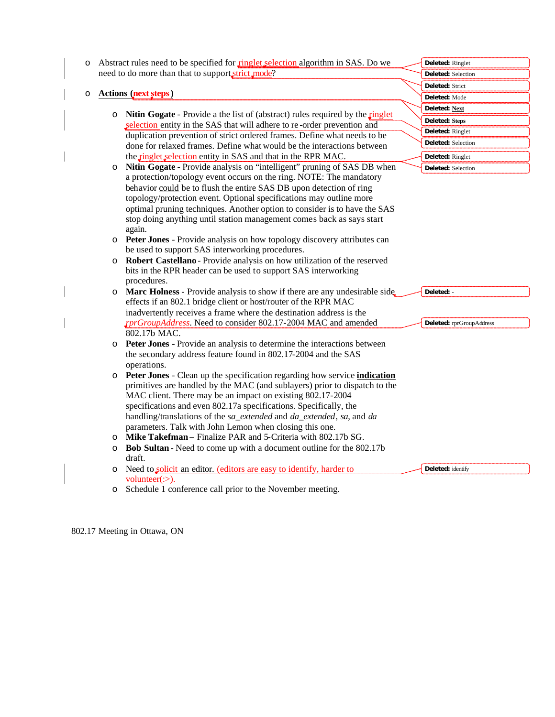| $\circ$ |         | Abstract rules need to be specified for ringlet selection algorithm in SAS. Do we           | Deleted: Ringlet         |
|---------|---------|---------------------------------------------------------------------------------------------|--------------------------|
|         |         | need to do more than that to support strict mode?                                           | Deleted: Selection       |
|         |         |                                                                                             | Deleted: Strict          |
| O       |         | <b>Actions</b> (next steps)                                                                 | Deleted: Mode            |
|         |         | <b>Nitin Gogate</b> - Provide a the list of (abstract) rules required by the <b>ringlet</b> | Deleted: Next            |
|         | $\circ$ | selection entity in the SAS that will adhere to re-order prevention and                     | Deleted: Steps           |
|         |         | duplication prevention of strict ordered frames. Define what needs to be                    | Deleted: Ringlet         |
|         |         | done for relaxed frames. Define what would be the interactions between                      | Deleted: Selection       |
|         |         | the ringlet selection entity in SAS and that in the RPR MAC.                                | Deleted: Ringlet         |
|         | $\circ$ | Nitin Gogate - Provide analysis on "intelligent" pruning of SAS DB when                     | Deleted: Selection       |
|         |         | a protection/topology event occurs on the ring. NOTE: The mandatory                         |                          |
|         |         | behavior could be to flush the entire SAS DB upon detection of ring                         |                          |
|         |         | topology/protection event. Optional specifications may outline more                         |                          |
|         |         | optimal pruning techniques. Another option to consider is to have the SAS                   |                          |
|         |         | stop doing anything until station management comes back as says start                       |                          |
|         |         | again.                                                                                      |                          |
|         | $\circ$ | Peter Jones - Provide analysis on how topology discovery attributes can                     |                          |
|         |         | be used to support SAS interworking procedures.                                             |                          |
|         | $\circ$ | Robert Castellano - Provide analysis on how utilization of the reserved                     |                          |
|         |         | bits in the RPR header can be used to support SAS interworking<br>procedures.               |                          |
|         | $\circ$ | Marc Holness - Provide analysis to show if there are any undesirable side.                  | Deleted: -               |
|         |         | effects if an 802.1 bridge client or host/router of the RPR MAC                             |                          |
|         |         | inadvertently receives a frame where the destination address is the                         |                          |
|         |         | <i>xprGroupAddress</i> . Need to consider 802.17-2004 MAC and amended                       | Deleted: rprGroupAddress |
|         |         | 802.17b MAC.                                                                                |                          |
|         | $\circ$ | Peter Jones - Provide an analysis to determine the interactions between                     |                          |
|         |         | the secondary address feature found in 802.17-2004 and the SAS                              |                          |
|         |         | operations.                                                                                 |                          |
|         | $\circ$ | Peter Jones - Clean up the specification regarding how service indication                   |                          |
|         |         | primitives are handled by the MAC (and sublayers) prior to dispatch to the                  |                          |
|         |         | MAC client. There may be an impact on existing 802.17-2004                                  |                          |
|         |         | specifications and even 802.17a specifications. Specifically, the                           |                          |
|         |         | handling/translations of the sa_extended and da_extended, sa, and da                        |                          |
|         |         | parameters. Talk with John Lemon when closing this one.                                     |                          |
|         | O       | Mike Takefman - Finalize PAR and 5-Criteria with 802.17b SG.                                |                          |
|         | $\circ$ | Bob Sultan - Need to come up with a document outline for the 802.17b<br>draft.              |                          |
|         | O       | Need to solicit an editor. (editors are easy to identify, harder to                         | Deleted: identify        |
|         |         | volunteer $(:).$                                                                            |                          |
|         | O       | Schedule 1 conference call prior to the November meeting.                                   |                          |
|         |         |                                                                                             |                          |

802.17 Meeting in Ottawa, ON